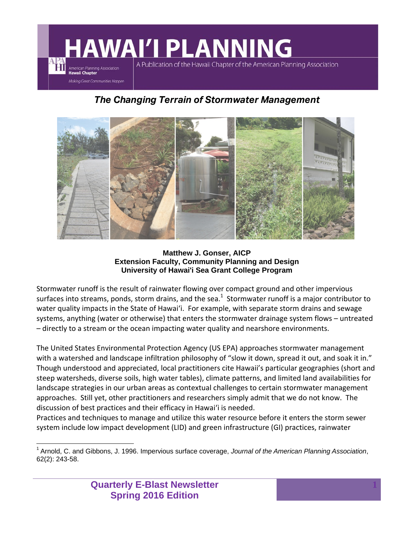#### **AWAI'I PLANNING** A Publication of the Hawaii Chapter of the American Planning Association American Planning Association **Hawaii Chapter** Making Great Communities Happen

#### *The Changing Terrain of Stormwater Management*



**Matthew J. Gonser, AICP Extension Faculty, Community Planning and Design University of Hawai'i Sea Grant College Program**

Stormwater runoff is the result of rainwater flowing over compact ground and other impervious surfaces into streams, ponds, storm drains, and the sea. $^1\,$  Stormwater runoff is a major contributor to water quality impacts in the State of Hawai'i. For example, with separate storm drains and sewage systems, anything (water or otherwise) that enters the stormwater drainage system flows – untreated – directly to a stream or the ocean impacting water quality and nearshore environments.

The United States Environmental Protection Agency (US EPA) approaches stormwater management with a watershed and landscape infiltration philosophy of "slow it down, spread it out, and soak it in." Though understood and appreciated, local practitioners cite Hawaii's particular geographies (short and steep watersheds, diverse soils, high water tables), climate patterns, and limited land availabilities for landscape strategies in our urban areas as contextual challenges to certain stormwater management approaches. Still yet, other practitioners and researchers simply admit that we do not know. The discussion of best practices and their efficacy in Hawai'i is needed.

Practices and techniques to manage and utilize this water resource before it enters the storm sewer system include low impact development (LID) and green infrastructure (GI) practices, rainwater

 $\overline{a}$ 1 Arnold, C. and Gibbons, J. 1996. Impervious surface coverage, *Journal of the American Planning Association*, 62(2): 243-58.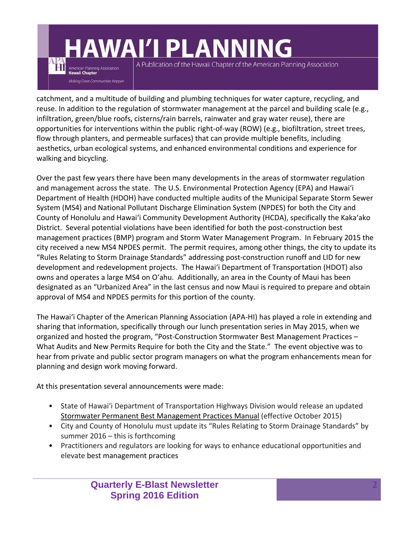## **AWAI'I PLANNING**

American Planning Association **Hawaii Chapter** 

**Makina Great Communities Happen** 

A Publication of the Hawaii Chapter of the American Planning Association

catchment, and a multitude of building and plumbing techniques for water capture, recycling, and reuse. In addition to the regulation of stormwater management at the parcel and building scale (e.g., infiltration, green/blue roofs, cisterns/rain barrels, rainwater and gray water reuse), there are opportunities for interventions within the public right‐of‐way (ROW) (e.g., biofiltration, street trees, flow through planters, and permeable surfaces) that can provide multiple benefits, including aesthetics, urban ecological systems, and enhanced environmental conditions and experience for walking and bicycling.

Over the past few years there have been many developments in the areas of stormwater regulation and management across the state. The U.S. Environmental Protection Agency (EPA) and Hawai'i Department of Health (HDOH) have conducted multiple audits of the Municipal Separate Storm Sewer System (MS4) and National Pollutant Discharge Elimination System (NPDES) for both the City and County of Honolulu and Hawai'i Community Development Authority (HCDA), specifically the Kaka'ako District. Several potential violations have been identified for both the post‐construction best management practices (BMP) program and Storm Water Management Program. In February 2015 the city received a new MS4 NPDES permit. The permit requires, among other things, the city to update its "Rules Relating to Storm Drainage Standards" addressing post‐construction runoff and LID for new development and redevelopment projects. The Hawai'i Department of Transportation (HDOT) also owns and operates a large MS4 on O'ahu. Additionally, an area in the County of Maui has been designated as an "Urbanized Area" in the last census and now Maui is required to prepare and obtain approval of MS4 and NPDES permits for this portion of the county.

The Hawai'i Chapter of the American Planning Association (APA‐HI) has played a role in extending and sharing that information, specifically through our lunch presentation series in May 2015, when we organized and hosted the program, "Post‐Construction Stormwater Best Management Practices – What Audits and New Permits Require for both the City and the State." The event objective was to hear from private and public sector program managers on what the program enhancements mean for planning and design work moving forward.

At this presentation several announcements were made:

- State of Hawai'i Department of Transportation Highways Division would release an updated Stormwater Permanent Best Management Practices Manual (effective October 2015)
- City and County of Honolulu must update its "Rules Relating to Storm Drainage Standards" by summer 2016 – this is forthcoming
- Practitioners and regulators are looking for ways to enhance educational opportunities and elevate best management practices

**Quarterly E-Blast Newsletter Spring 2016 Edition**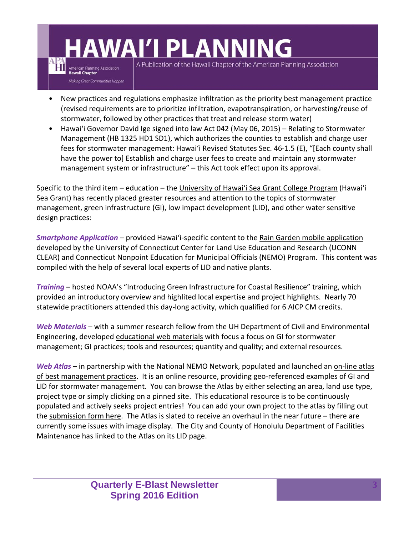# **AWAI'I PLANNING**

American Planning Association **Hawaii Chapter** 

Making Great Communities Happen

A Publication of the Hawaii Chapter of the American Planning Association

- New practices and regulations emphasize infiltration as the priority best management practice (revised requirements are to prioritize infiltration, evapotranspiration, or harvesting/reuse of stormwater, followed by other practices that treat and release storm water)
- Hawai'i Governor David Ige signed into law Act 042 (May 06, 2015) Relating to Stormwater Management (HB 1325 HD1 SD1), which authorizes the counties to establish and charge user fees for stormwater management: Hawai'i Revised Statutes Sec. 46‐1.5 (E), "[Each county shall have the power to] Establish and charge user fees to create and maintain any stormwater management system or infrastructure" – this Act took effect upon its approval.

Specific to the third item – education – the University of Hawai'i Sea Grant College Program (Hawai'i Sea Grant) has recently placed greater resources and attention to the topics of stormwater management, green infrastructure (GI), low impact development (LID), and other water sensitive design practices:

*Smartphone Application* – provided Hawai'i‐specific content to the Rain Garden mobile application developed by the University of Connecticut Center for Land Use Education and Research (UCONN CLEAR) and Connecticut Nonpoint Education for Municipal Officials (NEMO) Program. This content was compiled with the help of several local experts of LID and native plants.

*Training* – hosted NOAA's "Introducing Green Infrastructure for Coastal Resilience" training, which provided an introductory overview and highlited local expertise and project highlights. Nearly 70 statewide practitioners attended this day‐long activity, which qualified for 6 AICP CM credits.

*Web Materials* – with a summer research fellow from the UH Department of Civil and Environmental Engineering, developed educational web materials with focus a focus on GI for stormwater management; GI practices; tools and resources; quantity and quality; and external resources.

*Web Atlas* – in partnership with the National NEMO Network, populated and launched an on-line atlas of best management practices. It is an online resource, providing geo‐referenced examples of GI and LID for stormwater management. You can browse the Atlas by either selecting an area, land use type, project type or simply clicking on a pinned site. This educational resource is to be continuously populated and actively seeks project entries! You can add your own project to the atlas by filling out the submission form here. The Atlas is slated to receive an overhaul in the near future – there are currently some issues with image display. The City and County of Honolulu Department of Facilities Maintenance has linked to the Atlas on its LID page.